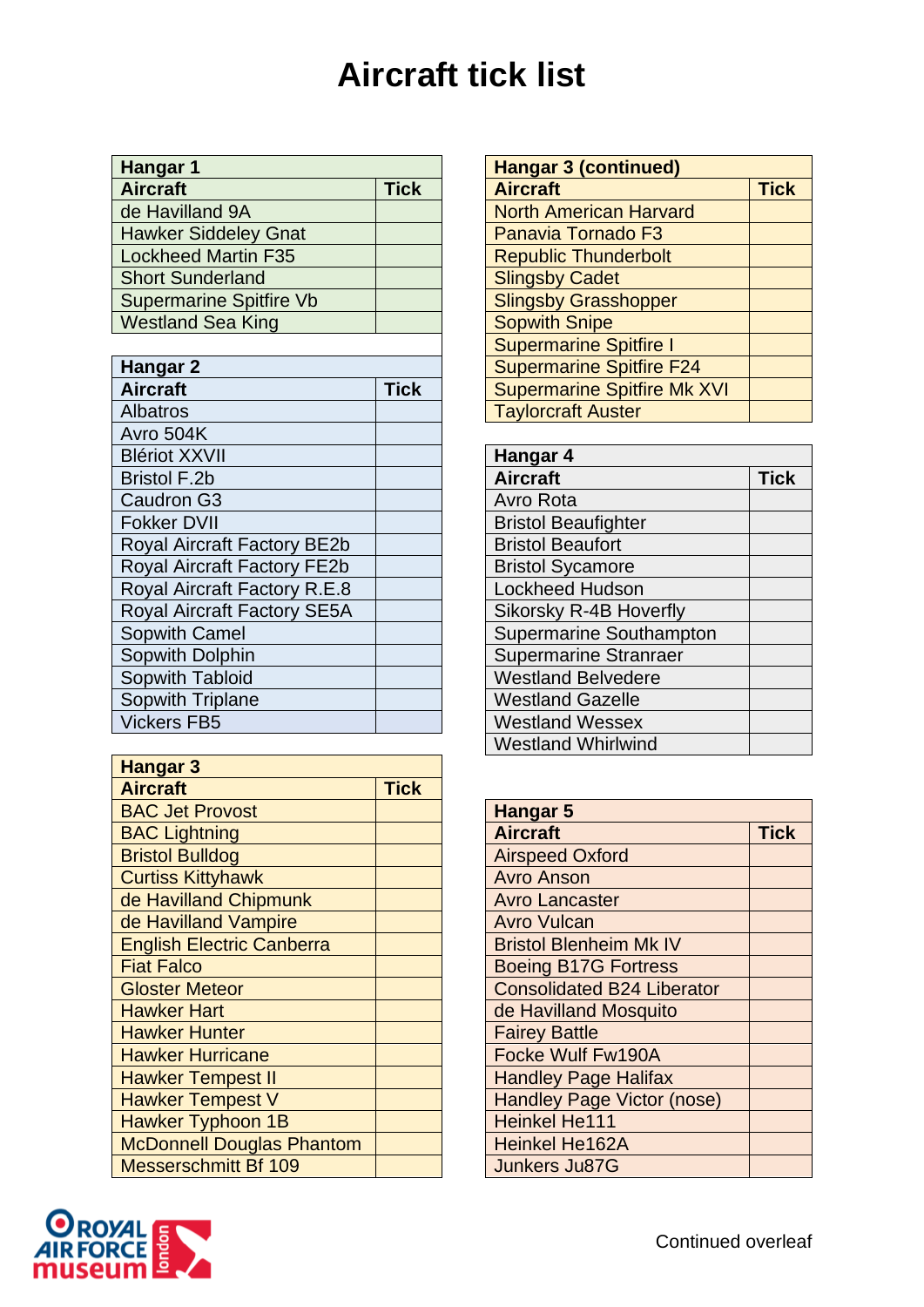## **Aircraft tick list**

| Hangar 1    |  | <b>Hangar 3 (continued)</b> |                               |
|-------------|--|-----------------------------|-------------------------------|
| <b>Tick</b> |  | <b>Aircraft</b>             | Tick                          |
|             |  |                             |                               |
|             |  | Panavia Tornado F3          |                               |
|             |  | <b>Republic Thunderbolt</b> |                               |
|             |  | <b>Slingsby Cadet</b>       |                               |
|             |  | <b>Slingsby Grasshopper</b> |                               |
|             |  | <b>Sopwith Snipe</b>        |                               |
|             |  |                             | <b>North American Harvard</b> |

| Hangar 2                           |             | <b>Supermarine Spitfire F24</b>    |      |
|------------------------------------|-------------|------------------------------------|------|
| <b>Aircraft</b>                    | <b>Tick</b> | <b>Supermarine Spitfire Mk XVI</b> |      |
| <b>Albatros</b>                    |             | <b>Taylorcraft Auster</b>          |      |
| Avro 504K                          |             |                                    |      |
| <b>Blériot XXVII</b>               |             | Hangar 4                           |      |
| <b>Bristol F.2b</b>                |             | <b>Aircraft</b>                    | Tick |
| Caudron G3                         |             | Avro Rota                          |      |
| <b>Fokker DVII</b>                 |             | <b>Bristol Beaufighter</b>         |      |
| <b>Royal Aircraft Factory BE2b</b> |             | <b>Bristol Beaufort</b>            |      |
| <b>Royal Aircraft Factory FE2b</b> |             | <b>Bristol Sycamore</b>            |      |
| Royal Aircraft Factory R.E.8       |             | <b>Lockheed Hudson</b>             |      |
| <b>Royal Aircraft Factory SE5A</b> |             | Sikorsky R-4B Hoverfly             |      |
| <b>Sopwith Camel</b>               |             | <b>Supermarine Southampton</b>     |      |
| Sopwith Dolphin                    |             | <b>Supermarine Stranraer</b>       |      |
| Sopwith Tabloid                    |             | <b>Westland Belvedere</b>          |      |
| Sopwith Triplane                   |             | <b>Westland Gazelle</b>            |      |
| <b>Vickers FB5</b>                 |             | <b>Westland Wessex</b>             |      |

| <b>Hangar 3</b>                  |             |                                   |
|----------------------------------|-------------|-----------------------------------|
| <b>Aircraft</b>                  | <b>Tick</b> |                                   |
| <b>BAC Jet Provost</b>           |             | <b>Hangar 5</b>                   |
| <b>BAC Lightning</b>             |             | <b>Aircraft</b>                   |
| <b>Bristol Bulldog</b>           |             | <b>Airspeed Oxford</b>            |
| <b>Curtiss Kittyhawk</b>         |             | <b>Avro Anson</b>                 |
| de Havilland Chipmunk            |             | <b>Avro Lancaster</b>             |
| de Havilland Vampire             |             | <b>Avro Vulcan</b>                |
| <b>English Electric Canberra</b> |             | <b>Bristol Blenheim Mk IV</b>     |
| <b>Fiat Falco</b>                |             | <b>Boeing B17G Fortress</b>       |
| <b>Gloster Meteor</b>            |             | <b>Consolidated B24 Liberator</b> |
| <b>Hawker Hart</b>               |             | de Havilland Mosquito             |
| <b>Hawker Hunter</b>             |             | <b>Fairey Battle</b>              |
| <b>Hawker Hurricane</b>          |             | Focke Wulf Fw190A                 |
| <b>Hawker Tempest II</b>         |             | <b>Handley Page Halifax</b>       |
| <b>Hawker Tempest V</b>          |             | Handley Page Victor (nose)        |
| <b>Hawker Typhoon 1B</b>         |             | <b>Heinkel He111</b>              |
| <b>McDonnell Douglas Phantom</b> |             | <b>Heinkel He162A</b>             |
| <b>Messerschmitt Bf 109</b>      |             | <b>Junkers Ju87G</b>              |

| <b>Hangar 3 (continued)</b>        |             |
|------------------------------------|-------------|
| <b>Aircraft</b>                    | <b>Tick</b> |
| <b>North American Harvard</b>      |             |
| Panavia Tornado F3                 |             |
| <b>Republic Thunderbolt</b>        |             |
| <b>Slingsby Cadet</b>              |             |
| <b>Slingsby Grasshopper</b>        |             |
| <b>Sopwith Snipe</b>               |             |
| <b>Supermarine Spitfire I</b>      |             |
| <b>Supermarine Spitfire F24</b>    |             |
| <b>Supermarine Spitfire Mk XVI</b> |             |
| <b>Taylorcraft Auster</b>          |             |

| Hangar 4                       |             |
|--------------------------------|-------------|
| <b>Aircraft</b>                | <b>Tick</b> |
| <b>Avro Rota</b>               |             |
| <b>Bristol Beaufighter</b>     |             |
| <b>Bristol Beaufort</b>        |             |
| <b>Bristol Sycamore</b>        |             |
| <b>Lockheed Hudson</b>         |             |
| Sikorsky R-4B Hoverfly         |             |
| <b>Supermarine Southampton</b> |             |
| <b>Supermarine Stranraer</b>   |             |
| <b>Westland Belvedere</b>      |             |
| <b>Westland Gazelle</b>        |             |
| <b>Westland Wessex</b>         |             |
| <b>Westland Whirlwind</b>      |             |

| <b>Hangar 5</b>                   |             |
|-----------------------------------|-------------|
| <b>Aircraft</b>                   | <b>Tick</b> |
| <b>Airspeed Oxford</b>            |             |
| <b>Avro Anson</b>                 |             |
| <b>Avro Lancaster</b>             |             |
| <b>Avro Vulcan</b>                |             |
| <b>Bristol Blenheim Mk IV</b>     |             |
| <b>Boeing B17G Fortress</b>       |             |
| <b>Consolidated B24 Liberator</b> |             |
| de Havilland Mosquito             |             |
| <b>Fairey Battle</b>              |             |
| Focke Wulf Fw190A                 |             |
| <b>Handley Page Halifax</b>       |             |
| <b>Handley Page Victor (nose)</b> |             |
| <b>Heinkel He111</b>              |             |
| <b>Heinkel He162A</b>             |             |
| <b>Junkers Ju87G</b>              |             |